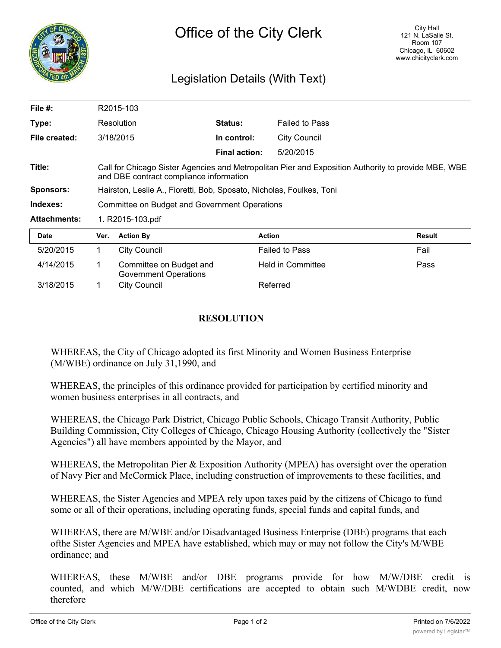

## Legislation Details (With Text)

| File $#$ :          | R2015-103                                                                                                                                      |                                                  |                      |                       |               |
|---------------------|------------------------------------------------------------------------------------------------------------------------------------------------|--------------------------------------------------|----------------------|-----------------------|---------------|
| Type:               |                                                                                                                                                | Resolution                                       | <b>Status:</b>       | <b>Failed to Pass</b> |               |
| File created:       |                                                                                                                                                | 3/18/2015                                        | In control:          | <b>City Council</b>   |               |
|                     |                                                                                                                                                |                                                  | <b>Final action:</b> | 5/20/2015             |               |
| Title:              | Call for Chicago Sister Agencies and Metropolitan Pier and Exposition Authority to provide MBE, WBE<br>and DBE contract compliance information |                                                  |                      |                       |               |
| <b>Sponsors:</b>    | Hairston, Leslie A., Fioretti, Bob, Sposato, Nicholas, Foulkes, Toni                                                                           |                                                  |                      |                       |               |
| Indexes:            | Committee on Budget and Government Operations                                                                                                  |                                                  |                      |                       |               |
| <b>Attachments:</b> | 1. R2015-103.pdf                                                                                                                               |                                                  |                      |                       |               |
| <b>Date</b>         | Ver.                                                                                                                                           | <b>Action By</b>                                 | <b>Action</b>        |                       | <b>Result</b> |
| 5/20/2015           | 1                                                                                                                                              | <b>City Council</b>                              |                      | <b>Failed to Pass</b> | Fail          |
| 4/14/2015           | 1                                                                                                                                              | Committee on Budget and<br>Government Operations |                      | Held in Committee     | Pass          |
| 3/18/2015           |                                                                                                                                                | <b>City Council</b>                              |                      | Referred              |               |

## **RESOLUTION**

WHEREAS, the City of Chicago adopted its first Minority and Women Business Enterprise (M/WBE) ordinance on July 31,1990, and

WHEREAS, the principles of this ordinance provided for participation by certified minority and women business enterprises in all contracts, and

WHEREAS, the Chicago Park District, Chicago Public Schools, Chicago Transit Authority, Public Building Commission, City Colleges of Chicago, Chicago Housing Authority (collectively the "Sister Agencies") all have members appointed by the Mayor, and

WHEREAS, the Metropolitan Pier & Exposition Authority (MPEA) has oversight over the operation of Navy Pier and McCormick Place, including construction of improvements to these facilities, and

WHEREAS, the Sister Agencies and MPEA rely upon taxes paid by the citizens of Chicago to fund some or all of their operations, including operating funds, special funds and capital funds, and

WHEREAS, there are M/WBE and/or Disadvantaged Business Enterprise (DBE) programs that each ofthe Sister Agencies and MPEA have established, which may or may not follow the City's M/WBE ordinance; and

WHEREAS, these M/WBE and/or DBE programs provide for how M/W/DBE credit is counted, and which M/W/DBE certifications are accepted to obtain such M/WDBE credit, now therefore